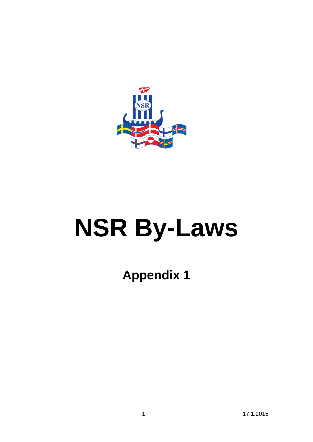

# **NSR By-Laws**

**Appendix 1**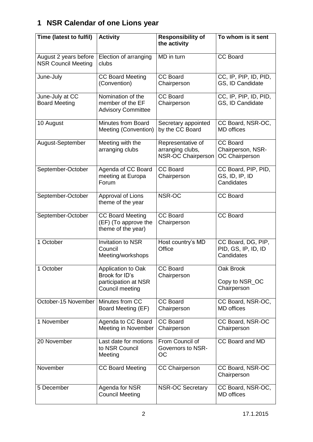# **1 NSR Calendar of one Lions year**

| Time (latest to fulfil)                             | <b>Activity</b>                                                                 | <b>Responsibility of</b><br>the activity                           | To whom is it sent                                      |  |
|-----------------------------------------------------|---------------------------------------------------------------------------------|--------------------------------------------------------------------|---------------------------------------------------------|--|
| August 2 years before<br><b>NSR Council Meeting</b> | Election of arranging<br>clubs                                                  | MD in turn                                                         | <b>CC Board</b>                                         |  |
| June-July                                           | <b>CC Board Meeting</b><br>(Convention)                                         | <b>CC Board</b><br>Chairperson                                     | CC, IP, PIP, ID, PID,<br>GS, ID Candidate               |  |
| June-July at CC<br><b>Board Meeting</b>             | Nomination of the<br>member of the EF<br><b>Advisory Committee</b>              | <b>CC Board</b><br>Chairperson                                     | CC, IP, PIP, ID, PID,<br>GS, ID Candidate               |  |
| 10 August                                           | <b>Minutes from Board</b><br>Meeting (Convention)                               | Secretary appointed<br>by the CC Board                             | CC Board, NSR-OC,<br><b>MD</b> offices                  |  |
| August-September                                    | Meeting with the<br>arranging clubs                                             | Representative of<br>arranging clubs,<br><b>NSR-OC Chairperson</b> | <b>CC Board</b><br>Chairperson, NSR-<br>OC Chairperson  |  |
| September-October                                   | Agenda of CC Board<br>meeting at Europa<br>Forum                                |                                                                    | CC Board, PIP, PID,<br>GS, ID, IP, ID<br>Candidates     |  |
| September-October                                   | Approval of Lions<br>theme of the year                                          | NSR-OC                                                             | <b>CC Board</b>                                         |  |
| September-October                                   | <b>CC Board Meeting</b><br>(EF) (To approve the<br>theme of the year)           | <b>CC Board</b><br>Chairperson                                     | <b>CC Board</b>                                         |  |
| 1 October                                           | <b>Invitation to NSR</b><br>Council<br>Meeting/workshops                        | Host country's MD<br>Office                                        | CC Board, DG, PIP,<br>PID, GS, IP, ID, ID<br>Candidates |  |
| 1 October                                           | Application to Oak<br>Brook for ID's<br>participation at NSR<br>Council meeting | <b>CC Board</b><br>Chairperson                                     | Oak Brook<br>Copy to NSR_OC<br>Chairperson              |  |
|                                                     | October-15 November<br>Minutes from CC<br>Board Meeting (EF)                    |                                                                    | CC Board, NSR-OC,<br><b>MD</b> offices                  |  |
| 1 November                                          | Agenda to CC Board<br>Meeting in November                                       | <b>CC Board</b><br>Chairperson                                     | CC Board, NSR-OC<br>Chairperson                         |  |
| 20 November                                         | Last date for motions<br>to NSR Council<br>Meeting                              | From Council of<br>Governors to NSR-<br>OС                         | CC Board and MD                                         |  |
| November                                            | <b>CC Board Meeting</b>                                                         | <b>CC Chairperson</b>                                              | CC Board, NSR-OC<br>Chairperson                         |  |
| 5 December                                          | Agenda for NSR<br><b>Council Meeting</b>                                        | <b>NSR-OC Secretary</b>                                            | CC Board, NSR-OC,<br><b>MD</b> offices                  |  |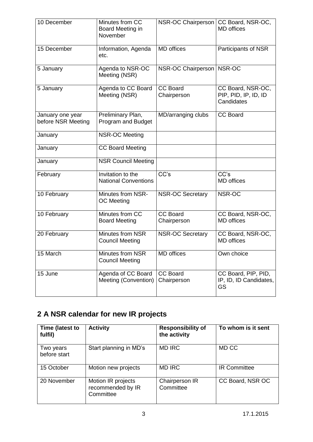| 10 December                            | Minutes from CC<br>Board Meeting in<br>November  | NSR-OC Chairperson             | CC Board, NSR-OC,<br><b>MD</b> offices                  |  |
|----------------------------------------|--------------------------------------------------|--------------------------------|---------------------------------------------------------|--|
| 15 December                            | Information, Agenda<br>etc.                      | <b>MD</b> offices              | Participants of NSR                                     |  |
| 5 January                              | Agenda to NSR-OC<br>Meeting (NSR)                | NSR-OC Chairperson   NSR-OC    |                                                         |  |
| 5 January                              | Agenda to CC Board<br>Meeting (NSR)              | <b>CC Board</b><br>Chairperson | CC Board, NSR-OC,<br>PIP, PID, IP, ID, ID<br>Candidates |  |
| January one year<br>before NSR Meeting | Preliminary Plan,<br>Program and Budget          | MD/arranging clubs             | <b>CC Board</b>                                         |  |
| January                                | <b>NSR-OC Meeting</b>                            |                                |                                                         |  |
| January                                | <b>CC Board Meeting</b>                          |                                |                                                         |  |
| January                                | <b>NSR Council Meeting</b>                       |                                |                                                         |  |
| February                               | Invitation to the<br><b>National Conventions</b> | CC's                           | $\overline{CC}$ 's<br><b>MD</b> offices                 |  |
| 10 February                            | Minutes from NSR-<br><b>OC</b> Meeting           | <b>NSR-OC Secretary</b>        | NSR-OC                                                  |  |
| 10 February                            | Minutes from CC<br><b>Board Meeting</b>          | <b>CC Board</b><br>Chairperson | CC Board, NSR-OC.<br><b>MD</b> offices                  |  |
| 20 February                            | Minutes from NSR<br><b>Council Meeting</b>       | <b>NSR-OC Secretary</b>        | CC Board, NSR-OC,<br><b>MD</b> offices                  |  |
| 15 March                               | Minutes from NSR<br><b>Council Meeting</b>       | <b>MD</b> offices              | Own choice                                              |  |
| 15 June                                | Agenda of CC Board<br>Meeting (Convention)       | <b>CC Board</b><br>Chairperson | CC Board, PIP, PID,<br>IP, ID, ID Candidates,<br>GS     |  |

# **2 A NSR calendar for new IR projects**

| Time (latest to<br>fulfil) | <b>Activity</b>                                      | <b>Responsibility of</b><br>the activity | To whom is it sent  |
|----------------------------|------------------------------------------------------|------------------------------------------|---------------------|
| Two years<br>before start  | Start planning in MD's                               | <b>MD IRC</b>                            | MD CC               |
| 15 October                 | Motion new projects                                  | <b>MD IRC</b>                            | <b>IR Committee</b> |
| 20 November                | Motion IR projects<br>recommended by IR<br>Committee | Chairperson IR<br>Committee              | CC Board, NSR OC    |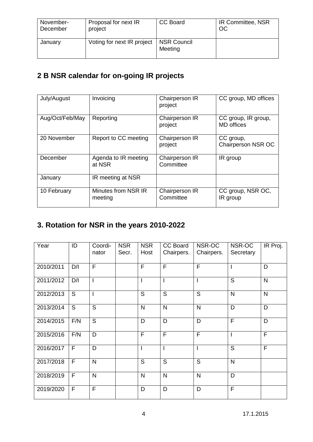| November- | Proposal for next IR       | CC Board               | IR Committee, NSR |
|-----------|----------------------------|------------------------|-------------------|
| December  | project                    |                        | OC                |
| January   | Voting for next IR project | NSR Council<br>Meeting |                   |

## **2 B NSR calendar for on-going IR projects**

| July/August     | Invoicing                      | Chairperson IR<br>project   | CC group, MD offices                     |
|-----------------|--------------------------------|-----------------------------|------------------------------------------|
| Aug/Oct/Feb/May | Reporting                      | Chairperson IR<br>project   | CC group, IR group,<br><b>MD</b> offices |
| 20 November     | Report to CC meeting           | Chairperson IR<br>project   | CC group,<br>Chairperson NSR OC          |
| December        | Agenda to IR meeting<br>at NSR | Chairperson IR<br>Committee | IR group                                 |
| January         | IR meeting at NSR              |                             |                                          |
| 10 February     | Minutes from NSR IR<br>meeting | Chairperson IR<br>Committee | CC group, NSR OC,<br>IR group            |

## **3. Rotation for NSR in the years 2010-2022**

| Year      | ID  | Coordi-<br>nator | <b>NSR</b><br>Secr. | <b>NSR</b><br>Host | CC Board<br>Chairpers.  | NSR-OC<br>Chairpers. | NSR-OC<br>Secretary      | IR Proj.       |
|-----------|-----|------------------|---------------------|--------------------|-------------------------|----------------------|--------------------------|----------------|
| 2010/2011 | D/I | $\overline{F}$   |                     | F                  | $\overline{\mathsf{F}}$ | F                    | $\overline{\phantom{a}}$ | D              |
| 2011/2012 | D/I | $\overline{1}$   |                     | ı                  | Ī                       | $\overline{1}$       | S                        | $\mathsf{N}$   |
| 2012/2013 | S   | T                |                     | S                  | S                       | S                    | N                        | $\mathsf{N}$   |
| 2013/2014 | S   | $\overline{s}$   |                     | $\mathsf{N}$       | N                       | $\mathsf{N}$         | D                        | D              |
| 2014/2015 | F/N | S                |                     | D                  | D                       | D                    | F                        | D              |
| 2015/2016 | F/N | D                |                     | F                  | F                       | F                    | $\overline{1}$           | F              |
| 2016/2017 | F   | D                |                     |                    | I                       | $\overline{1}$       | $\overline{S}$           | $\overline{F}$ |
| 2017/2018 | F   | ${\sf N}$        |                     | S                  | S                       | S                    | N                        |                |
| 2018/2019 | F   | N                |                     | $\mathsf{N}$       | N                       | N                    | D                        |                |
| 2019/2020 | F   | $\mathsf{F}$     |                     | D                  | D                       | D                    | $\overline{F}$           |                |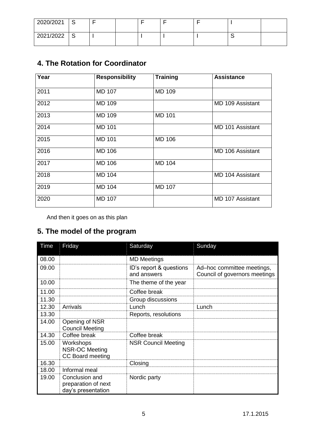| 2020/2021 | $\sim$<br>w |  |  |  |  |
|-----------|-------------|--|--|--|--|
| 2021/2022 | $\sim$<br>ٮ |  |  |  |  |

## **4. The Rotation for Coordinator**

| Year | <b>Responsibility</b> | <b>Training</b> | <b>Assistance</b>       |
|------|-----------------------|-----------------|-------------------------|
|      |                       |                 |                         |
| 2011 | <b>MD 107</b>         | <b>MD 109</b>   |                         |
| 2012 | <b>MD 109</b>         |                 | MD 109 Assistant        |
| 2013 | <b>MD 109</b>         | <b>MD 101</b>   |                         |
| 2014 | <b>MD 101</b>         |                 | <b>MD 101 Assistant</b> |
| 2015 | <b>MD 101</b>         | <b>MD 106</b>   |                         |
| 2016 | <b>MD 106</b>         |                 | MD 106 Assistant        |
| 2017 | <b>MD 106</b>         | <b>MD 104</b>   |                         |
| 2018 | <b>MD 104</b>         |                 | MD 104 Assistant        |
| 2019 | <b>MD 104</b>         | <b>MD 107</b>   |                         |
| 2020 | <b>MD 107</b>         |                 | <b>MD 107 Assistant</b> |

And then it goes on as this plan

## **5. The model of the program**

| Time  | Friday                                                        | Saturday                               | Sunday                                                      |
|-------|---------------------------------------------------------------|----------------------------------------|-------------------------------------------------------------|
| 08.00 |                                                               | <b>MD Meetings</b>                     |                                                             |
| 09.00 |                                                               | ID's report & questions<br>and answers | Ad-hoc committee meetings,<br>Council of governors meetings |
| 10.00 |                                                               | The theme of the year                  |                                                             |
| 11.00 |                                                               | Coffee break                           |                                                             |
| 11.30 |                                                               | Group discussions                      |                                                             |
| 12.30 | Arrivals                                                      | Lunch                                  | Lunch                                                       |
| 13.30 |                                                               | Reports, resolutions                   |                                                             |
| 14.00 | Opening of NSR<br><b>Council Meeting</b>                      |                                        |                                                             |
| 14.30 | Coffee break                                                  | Coffee break                           |                                                             |
| 15.00 | Workshops<br><b>NSR-OC Meeting</b><br><b>CC Board meeting</b> | <b>NSR Council Meeting</b>             |                                                             |
| 16.30 |                                                               | Closing                                |                                                             |
| 18.00 | Informal meal                                                 |                                        |                                                             |
| 19.00 | Conclusion and<br>preparation of next<br>day's presentation   | Nordic party                           |                                                             |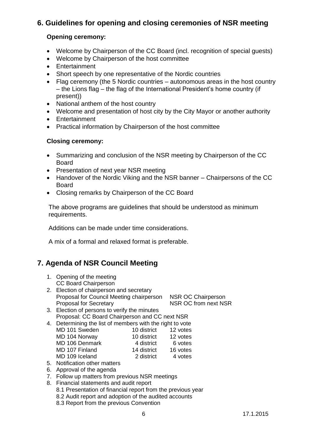## **6. Guidelines for opening and closing ceremonies of NSR meeting**

#### **Opening ceremony:**

- Welcome by Chairperson of the CC Board (incl. recognition of special guests)
- Welcome by Chairperson of the host committee
- Entertainment
- Short speech by one representative of the Nordic countries
- Flag ceremony (the 5 Nordic countries autonomous areas in the host country – the Lions flag – the flag of the International President's home country (if present))
- National anthem of the host country
- Welcome and presentation of host city by the City Mayor or another authority
- **Entertainment**
- Practical information by Chairperson of the host committee

#### **Closing ceremony:**

- Summarizing and conclusion of the NSR meeting by Chairperson of the CC Board
- Presentation of next year NSR meeting
- Handover of the Nordic Viking and the NSR banner Chairpersons of the CC Board
- Closing remarks by Chairperson of the CC Board

The above programs are guidelines that should be understood as minimum requirements.

Additions can be made under time considerations.

A mix of a formal and relaxed format is preferable.

## **7. Agenda of NSR Council Meeting**

- 1. Opening of the meeting CC Board Chairperson
- 2. Election of chairperson and secretary Proposal for Council Meeting chairperson NSR OC Chairperson Proposal for Secretary NSR OC from next NSR
- 3. Election of persons to verify the minutes Proposal: CC Board Chairperson and CC next NSR
- 4. Determining the list of members with the right to vote MD 101 Sweden 10 district 12 votes<br>
MD 104 Norway 10 district 12 votes MD 104 Norway 10 district 12 votes MD 106 Denmark 4 district 6 votes MD 107 Finland 14 district 16 votes MD 109 Iceland 2 district 4 votes
- 5. Notification other matters
- 6. Approval of the agenda
- 7. Follow up matters from previous NSR meetings
- 8. Financial statements and audit report
	- 8.1 Presentation of financial report from the previous year
	- 8.2 Audit report and adoption of the audited accounts
	- 8.3 Report from the previous Convention